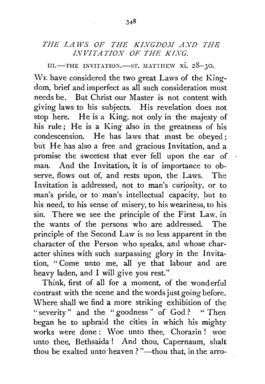## *THE LAWS OF THE KINGDOJI A.VD THE INVITATION OF THE KING.*

III.-THE INVITATION.-ST. MATTHEW xi. 28-30.

WE have considered the two great Laws of the Kingdom, brief and imperfect as all such consideration must needs be. But Christ our Master is not content with giving laws to his subjects. His revelation does not stop here. He is a King, not only in the majesty of his rule; He is a King also in the greatness of his condescension. He has laws that must be obeyed; but He has also a free and gracious Invitation, and a promise the sweetest that ever fell upon the ear of man. And the Invitation, it is of importance to observe, flows out of, and rests upon, the Laws. The Invitation is addressed, not to man's curiosity, or to man's pride, or to man's intellectual capacity, but to his need, to his sense of misery, to his weariness, to his sin. There we see the principle of the First Law, in the wants of the persons who are addressed. The principle of the Second Law is no less apparent in the character of the Person who speaks, and whose character shines with such surpassing glory in the Invitation, " Come unto me, all ye that labour and are heavy laden, and I will give you rest."

Think, first of all for a moment, of the wonderful contrast with the scene and the words just going before. Where shall we find a more striking exhibition of the "severity " and the " goodness " of God ? " Then began he to upbraid the cities in which his mighty works were done: Woe unto thee, Chorazin ! woe unto thee, Bethsaida ! And thou, Capernaum, shalt thou be exalted unto heaven?"--thou that, in the arro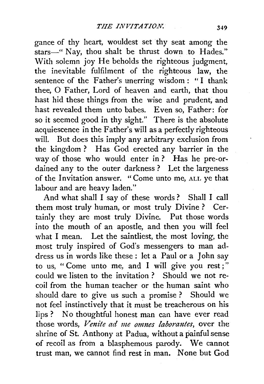gance of thy heart, wouldest set thy seat among the stars-" Nay, thou shalt be thrust down to Hades." With solemn joy He beholds the righteous judgment, the inevitable fulfilment of the righteous law, the sentence of the Father's unerring wisdom: "I thank thee, 0 Father, Lord of heaven and earth, that thou hast hid these things from the wise and prudent, and hast revealed them unto babes. Even so, Father: for so it seemed good in thy sight." There is the absolute acquiescence in the Father's will as a perfectly righteous will. But does this imply any arbitrary exclusion from the kingdom? Has God erected any barrier in the way of those who would enter in? Has he pre-ordained any to the outer darkness ? Let the largeness of the Invitation answer. "Come unto me, ALL ye that labour and are heavy laden."

And what shall I say of these words ? Shall I call them most truly human, or most truly Divine ? Certainly they are most truly Divine. Put those words into the mouth of an apostle, and then you will feel what I mean. Let the saintliest, the most loving, the most truly inspired of God's messengers to man address us in words like these : let a Paul or a John say to us, "Come unto me, and I will give you rest;" could welisten to the invitation ? Should we not recoil from the human teacher or the human saint who should dare to give us such a promise ? Should we not feel instinctively that it must be treacherous on his lips ? No thoughtful honest man can have ever read those words, *Venite ad me omnes laborantes*, over the shrine of St. Anthony at Padua, without a painful sense of recoil as from a blasphemous parody. We cannot trust man, we cannot find rest in man. None but God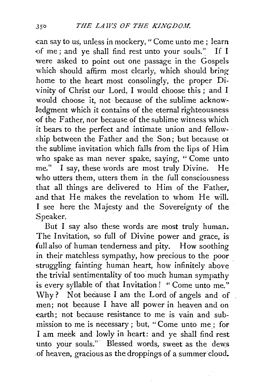can say to us, unless in mockery, " Come unto me ; learn -of me; and ye shall find test unto your souls." If I were asked to point out one passage in the Gospels which should affirm most clearly, which should bring home to· the heart most consolingly, the proper Divinity of Christ our Lord, I would choose this ; and I would choose it, not because of the sublime acknowledgment which it contains of the eternal righteousness of the Father, nor because of the sublime witness which it bears to the perfect and intimate union and fellow- · ship between the Father and the Son; but because or the sublime invitation which falls from the lips of Him who spake as man never spake, saying, "Come unto me." I say, these words are most truly Divine. He who utters them, utters them in the full consciousness that all things are delivered to Him of the Father, and that He makes the revelation to whom He will. I see here the Majesty and the Sovereignty of the Speaker.

But I say also these words are most truly human. The Invitation, so full of Divine power and grace, is full also of human tenderness and pity. How soothing in their matchless sympathy, how precious to the poor struggling fainting human heart, how infinitely above the trivial sentimentality of too much human sympathy is every syllable of that Invitation ! " Come unto me." Why? Not because I am the Lord of angels and of men; not because I have all power in heaven and on earth; not because resistance to me is vain and submission to me is necessary; but, "Come unto me; for I am meek and lowly in heart: and ye shall find rest unto your souls." Blessed words, sweet as the dews of heaven, gracious as the droppings of a summer cloud.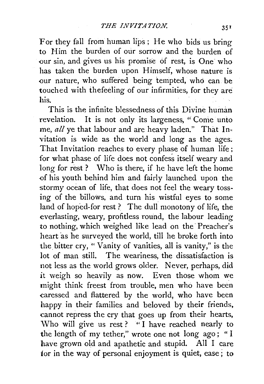For they fall from human lips; He who bids us bring to Him the burden of our sorrow and the burden of our sin, and gives us his promise of rest, is One who has taken the burden upon Himself, whose nature is our nature, who suffered being tempted, who can be touched with thefeeling of our infirmities, for they are his.

This is the infinite blessedness of this Divine human revelation. It is not only its largeness, "Come unto me, *all* ye that labour and are heavy laden." That Invitation is wide as the world and long as the ages. That Invitation reaches to every phase of human life; for what phase of life does not confess itself weary and long for rest ? Who is there, if he have left the home of his youth behind him and fairly launched upon the stormy ocean of life, that does not feel the weary tossing of the billows, and turn his wistful eyes to some land of hoped-for rest? The dull monotony of life, the everlasting, weary, profitless round, the labour leading to nothing, which weighed like lead on the Preacher's heart as he surveyed the world, till he broke forth into the bitter cry, " Vanity of vanities, all is vanity," is the lot of man still. The weariness, the dissatisfaction is not less as the world grows older. Never, perhaps, did it weigh so heavily as now. Even those whom we might think freest from trouble, men who have been caressed and flattered by the world, who have been happy in their families and beloved by their friends, cannot repress the cry that goes up from their hearts, Who will give us rest? "I have reached nearly to the length of my tether," wrote one not long ago ; " I have grown old and apathetic and stupid. All I care tor in the way of personal enjoyment is quiet, ease; to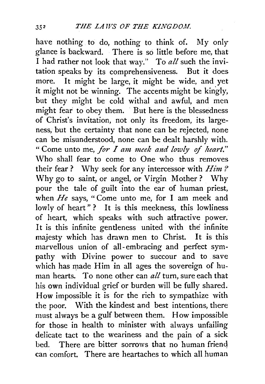have nothing to do, nothing to think of. My only glance is backward. There is so little before me, that I had rather not look that way." To *all* such the invitation speaks by its comprehensiveness. But it does more. It might be large, it might be wide, and yet it might not be winning. The accents might be kingly, but they might be cold withal and awful, and men might fear to obey them. But here is the blessedness of Christ's invitation, not only its freedom, its largeness, but the certainty that none can be rejected, none can be misunderstood, none can be dealt harshly with. "Come unto me, *for I am meek and lowly* of *heart."*  \Vho shall fear to come to One who thus removes their fear? Why seek for any intercessor with *Him?*  Why go to saint, or angel, or Virgin Mother ? Why pour the tale of guilt into the ear of human priest, when *He* says, "Come unto me, for I am meek and lowly of heart"? It is this meekness, this lowliness of heart, which speaks with such attractive power. It is this infinite gentleness united with the infinite majesty which has drawn men to Christ. It is this marvellous union of all-embracing and perfect sympathy with Divine power to succour and to save which has made Him in all ages the sovereign of human hearts. To none other can *all* turn, sure each that his own individual grief or burden will be fully shared. How impossible it is for the rich to sympathize with the poor. With the kindest and best intentions, there must always be a gulf between them. How impossible for those in health to minister with always unfailing delicate tact to the weariness and the pain of a sick bed. There are bitter sorrows that no human friend can comfort. There are heartaches to which all human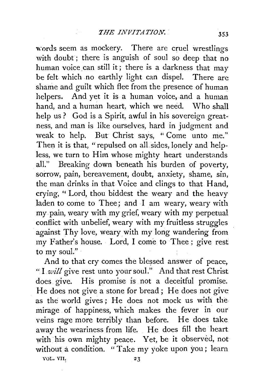words seem as mockery. There are cruel wrestlings with doubt; there is anguish of soul so deep that no human voice can still it; there is a darkness that may be felt which no earthly light can dispel. There are shame and guilt which flee from the presence of human helpers. And yet it is a human voice, and a human hand, and a human heart. which we need. Who shall help us? God is a Spirit, awful in his sovereign greatness, and man is like ourselves, hard in judgment and weak to help. But Christ says, "Come unto me." Then it is that, "repulsed on all sides, lonely and helpless, we turn to Him whose mighty heart understands all." Breaking down beneath his burden of poverty, sorrow, pain, bereavement, doubt, anxiety, shame, sin, the man drinks in that Voice and clings to that Hand, crying, " Lord, thou biddest the weary and the heavy laden to come to Thee; and I am weary, weary with my pain, weary with my grief, weary with my perpetual conflict with unbelief, weary with my fruitless struggles against Thy love, weary with my long wandering from my Father's house. Lord, I come to Thee; give rest to my soul."

And to that cry comes the blessed answer of peace, "I *will* give rest unto your soul." And that rest Christ does give. His promise is not a deceitful promise. He does not give a stone for bread; He does not give as the world gives ; He does not mock us with the mirage of happiness, which makes the fever in our veins rage more terribly than before. He does take away the weariness from life. He does fill the heart with his own mighty peace. Yet, be it observed, not without a condition. "Take my yoke upon you; learn VOL. VII. 23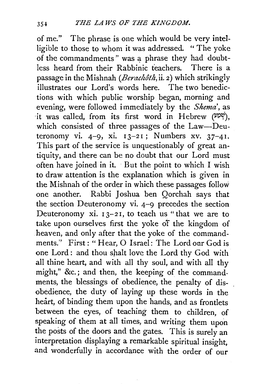of me." The phrase is one which would be very intelligible to those to whom it was addressed. "The yoke of the commandments" was a phrase they had doubtless heard from their Rabbinic teachers. There is a passage in the Mishnah *(Berachoth,* ii. 2) which strikingly illustrates our Lord's words here. The two benedictions with which public worship began, morning and evening, were followed immediately by the *Shema',* as it was called, from its first word in Hebrew (ppv), which consisted of three passages of the Law-Deuteronomy vi.  $4-9$ , xi.  $13-21$ ; Numbers xv.  $37-41$ . This part of the service is unquestionably of great antiquity, and there can be no doubt that our Lord must often have joined in it. But the point to which I wish to draw attention is the explanation which is given in the Mishnah of the order in which these passages follow one another. Rabbi Joshua ben Qorchah says that the section Deuteronomy vi. 4-9 precedes the section Deuteronomy xi.  $13-21$ , to teach us "that we are to take upon ourselves first the yoke of the kingdom of heaven, and only after that the yoke of the commandments." First: "Hear, 0 Israel: The Lord our God is one Lord : and thou shalt love the Lord thy God with all thine heart, and with all thy soul, and with all thy might," &c.; and then, the keeping of the commandments, the blessings of obedience, the penalty of disobedience, the duty of laying up these words in the heart, of binding them upon the hands, and as frontlets between the eyes, of teaching them to children, of speaking of them at all times, and writing them upon the posts of the doors and the gates. This is surely an interpretation displaying a remarkable spiritual insight, and wonderfully in accordance with the order of our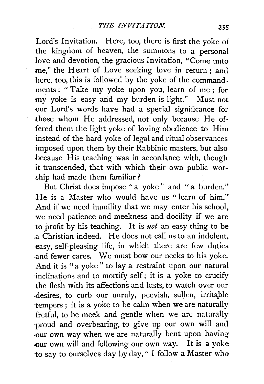Lord's Invitation. Here, too, there is first the yoke of the kingdom of heaven, the summons to a personal love and devotion, the gracious Invitation, "Come unto me," the Heart of Love seeking love in return; and here, too, this is followed by the yoke of the commandments: "Take my yoke upon you, learn of me; for my yoke is easy and my burden is light." Must not our Lord's words have had a special significance for those whom He addressed, not only because He offered them the light yoke of loving obedience to Him instead of the hard yoke of legal and ritual observances imposed upon them by their Rabbinic masters, but also because His teaching was in accordance with, though it transcended, that with which their own public worship had made them familiar?

But Christ does impose "a yoke" and "a burden." He is a Master who would have us "learn of him." And if we need humility that we may enter his school, we need patience and meekness and docility if we are to profit by his teaching. It is *not* an easy thing to be .a Christian indeed. He does not call us to an indolent, easy, self-pleasing life, in which there are few duties .and fewer cares. We must bow our necks to his yoke. And it is "a yoke" to lay a restraint upon our natural inclinations and to mortify self; it is a yoke to crucify the flesh with its affections and lusts, to watch over our desires, to curb our unruly, peevish, sullen, irritable tempers ; it is a yoke to be calm when we are naturally fretful, to be meek and gentle when we are naturally proud and overbearing, to give up our own will and -our own way when we are naturally bent upon having- ·OUr own will and following our own way. It is a yoke to say to ourselves day by day, " I follow a Master who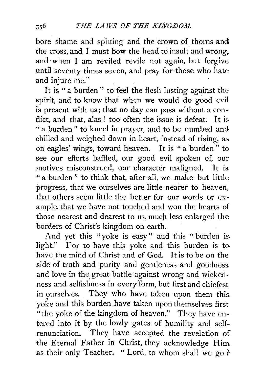bore shame and spitting and the crown of thorns and the cross, and I must bow the head to insult and wrong. and when I am reviled revile not again, but forgive until seventy times seven, and pray for those who hate and injure me."

It is " a burden " to, feel the flesh lusting against the spirit, and to know that when we would do good evil is present with us; that no day can pass without a conflict, and that, alas! too often the issue is defeat. It is " a burden " to kneel in prayer, and to be numbed and chilled and weighed down in heart, instead of rising, as. on eagles' wings, toward heaven. It is "a burden" to see our efforts baffled, our good evil spoken of, our motives misconstrued, our character maligned. It is. " a burden " to think that, after all, we make but little progress, that we ourselves are little nearer to heaven, that others seem little the better for our words or example, that we have not touched and won the hearts of those nearest and dearest to us, much less enlarged the borders of Christ's kingdom on earth.

And yet this "yoke is easy'' and this "burden is. light." For to have this yoke and this burden is to have the mind of Christ and of God. It is to be on the side of truth and purity and gentleness and goodness and love in the great battle against wrong and wickedness and selfishness in every form, but first and chiefest in ourselves. They who have taken upon them this. yoke and this burden have taken upon themselves first "the yoke of the kingdom of heaven." They have entered into it by the lowly gates of humility and selfrenunciation. They have accepted the revelation of the Eternal Father in Christ, they acknowledge Him as their only Teacher. "Lord, to whom shall we go?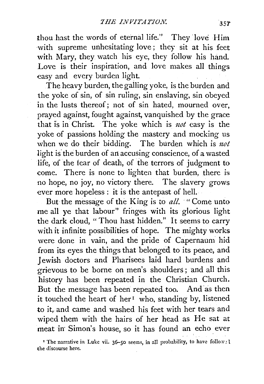thou hast the words of eternal life." They 'love Him with supreme unhesitating love; they sit at his feet with Mary, they watch his eye, they follow his hand. Love is their inspiration, and love makes all things easy and every burden light.

The heavy burden, the galling yoke, is the burden and the yoke of sin, of sin ruling, sin enslaving, sin obeyed in the lusts thereof; not of sin hated, mourned over, prayed against, fought against, vanquished by the grace that is in Christ. The yoke which is  $not$  easy is the yoke of passions holding the mastery and mocking us when we do their bidding. The burden which is  $not$ light is' the burden of an accusing conscience, of a wasted life, of the fear of death, of the terrors of judgment to come. There is none to lighten that burden, there is no hope, no joy, no victory there. The slavery grows ever more hopeless : it is the antepast of hell.

But the message of the King is to *all.* "Come unto me all ye that labour" fringes with its glorious light the dark cloud, "Thou hast hidden." It seems to carry with it infinite possibilities of hope. The mighty works were done in vain, and the pride of Capernaum hid from its eyes the things that belonged to its peace, and Jewish doctors and Pharisees laid hard burdens and grievous to be borne on men's shoulders; and all this history has been repeated in the Christian Church. But the message has been repeated too. And as then it touched the heart of her<sup>1</sup> who, standing by, listened to it, and came and washed his feet with her tears and wiped them with the hairs of her head as He sat at meat in Simon's house, so it has found an echo ever

' The narrative in Luke vii. 36-50 seems, in all probability, to have follow: l the discourse here.